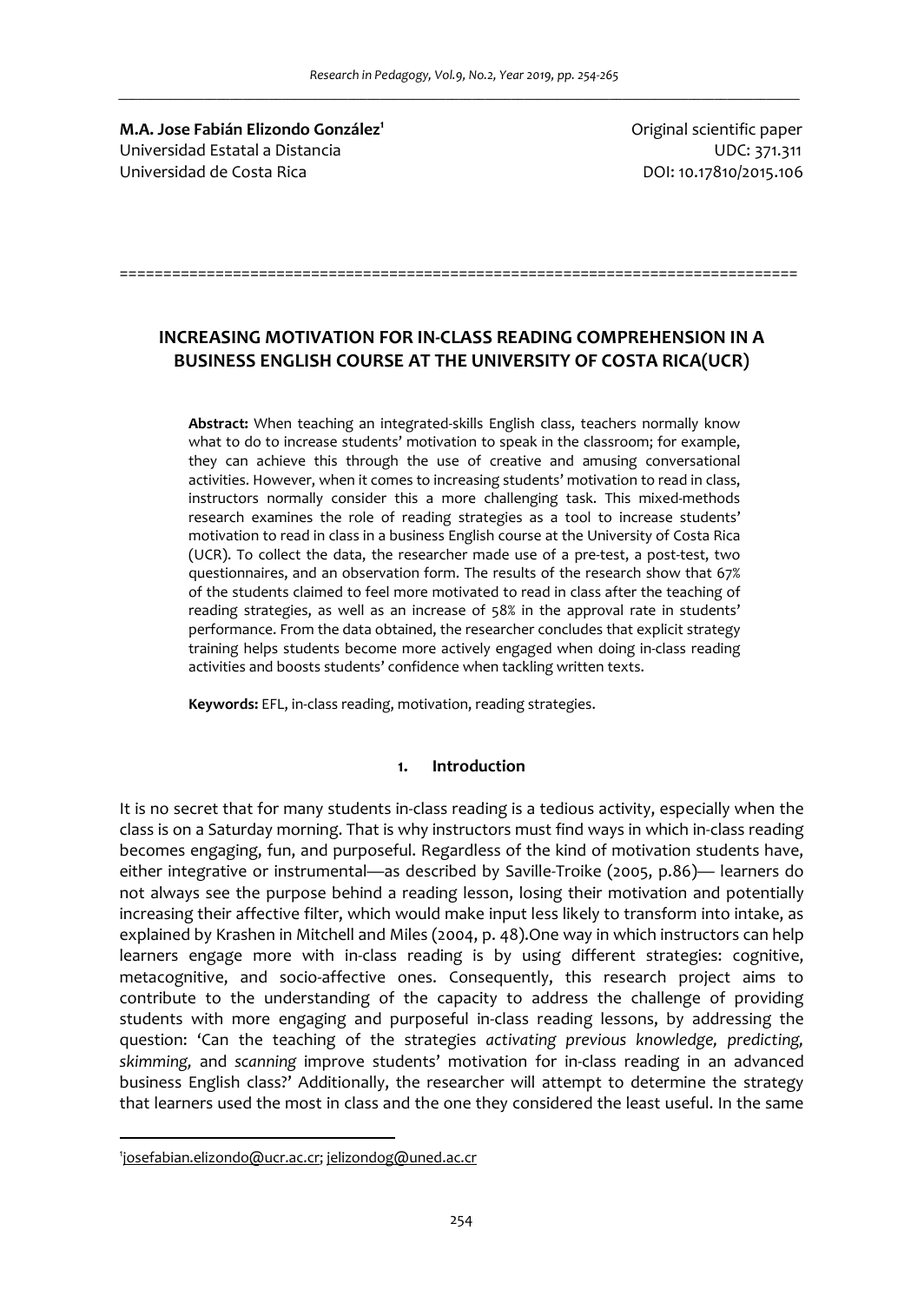**M.A. Jose Fabián Elizondo González<sup>1</sup>** Universidad Estatal a Distancia UDC: 371.311 Universidad de Costa Rica DOI: 10.17810/2015.106

Original scientific paper

# **INCREASING MOTIVATION FOR IN-CLASS READING COMPREHENSION IN A BUSINESS ENGLISH COURSE AT THE UNIVERSITY OF COSTA RICA(UCR)**

==============================================================================

**Abstract:** When teaching an integrated-skills English class, teachers normally know what to do to increase students' motivation to speak in the classroom; for example, they can achieve this through the use of creative and amusing conversational activities. However, when it comes to increasing students' motivation to read in class, instructors normally consider this a more challenging task. This mixed-methods research examines the role of reading strategies as a tool to increase students' motivation to read in class in a business English course at the University of Costa Rica (UCR). To collect the data, the researcher made use of a pre-test, a post-test, two questionnaires, and an observation form. The results of the research show that 67% of the students claimed to feel more motivated to read in class after the teaching of reading strategies, as well as an increase of 58% in the approval rate in students' performance. From the data obtained, the researcher concludes that explicit strategy training helps students become more actively engaged when doing in-class reading activities and boosts students' confidence when tackling written texts.

**Keywords:** EFL, in-class reading, motivation, reading strategies.

## **1. Introduction**

It is no secret that for many students in-class reading is a tedious activity, especially when the class is on a Saturday morning. That is why instructors must find ways in which in-class reading becomes engaging, fun, and purposeful. Regardless of the kind of motivation students have, either integrative or instrumental—as described by Saville-Troike (2005, p.86)— learners do not always see the purpose behind a reading lesson, losing their motivation and potentially increasing their affective filter, which would make input less likely to transform into intake, as explained by Krashen in Mitchell and Miles (2004, p. 48).One way in which instructors can help learners engage more with in-class reading is by using different strategies: cognitive, metacognitive, and socio-affective ones. Consequently, this research project aims to contribute to the understanding of the capacity to address the challenge of providing students with more engaging and purposeful in-class reading lessons, by addressing the question: 'Can the teaching of the strategies *activating previous knowledge, predicting, skimming,* and *scanning* improve students' motivation for in-class reading in an advanced business English class?' Additionally, the researcher will attempt to determine the strategy that learners used the most in class and the one they considered the least useful. In the same

 $\overline{a}$ 

<sup>1</sup> josefabian.elizondo@ucr.ac.cr; jelizondog@uned.ac.cr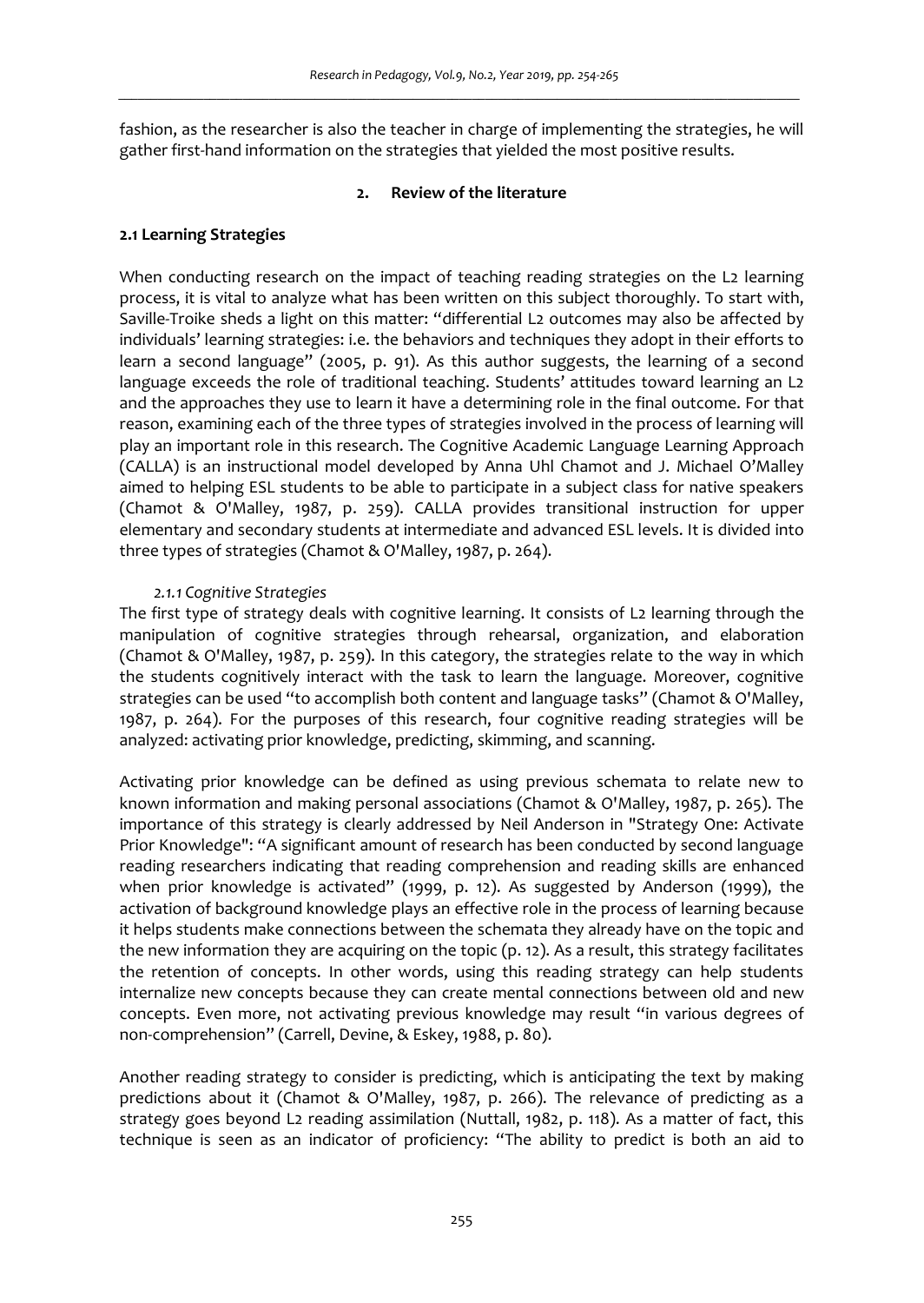fashion, as the researcher is also the teacher in charge of implementing the strategies, he will gather first-hand information on the strategies that yielded the most positive results.

## **2. Review of the literature**

# **2.1 Learning Strategies**

When conducting research on the impact of teaching reading strategies on the L2 learning process, it is vital to analyze what has been written on this subject thoroughly. To start with, Saville-Troike sheds a light on this matter: "differential L2 outcomes may also be affected by individuals' learning strategies: i.e. the behaviors and techniques they adopt in their efforts to learn a second language" (2005, p. 91). As this author suggests, the learning of a second language exceeds the role of traditional teaching. Students' attitudes toward learning an L2 and the approaches they use to learn it have a determining role in the final outcome. For that reason, examining each of the three types of strategies involved in the process of learning will play an important role in this research. The Cognitive Academic Language Learning Approach (CALLA) is an instructional model developed by Anna Uhl Chamot and J. Michael O'Malley aimed to helping ESL students to be able to participate in a subject class for native speakers (Chamot & O'Malley, 1987, p. 259). CALLA provides transitional instruction for upper elementary and secondary students at intermediate and advanced ESL levels. It is divided into three types of strategies (Chamot & O'Malley, 1987, p. 264).

#### *2.1.1 Cognitive Strategies*

The first type of strategy deals with cognitive learning. It consists of L2 learning through the manipulation of cognitive strategies through rehearsal, organization, and elaboration (Chamot & O'Malley, 1987, p. 259). In this category, the strategies relate to the way in which the students cognitively interact with the task to learn the language. Moreover, cognitive strategies can be used "to accomplish both content and language tasks" (Chamot & O'Malley, 1987, p. 264). For the purposes of this research, four cognitive reading strategies will be analyzed: activating prior knowledge, predicting, skimming, and scanning.

Activating prior knowledge can be defined as using previous schemata to relate new to known information and making personal associations (Chamot & O'Malley, 1987, p. 265). The importance of this strategy is clearly addressed by Neil Anderson in "Strategy One: Activate Prior Knowledge": "A significant amount of research has been conducted by second language reading researchers indicating that reading comprehension and reading skills are enhanced when prior knowledge is activated" (1999, p. 12). As suggested by Anderson (1999), the activation of background knowledge plays an effective role in the process of learning because it helps students make connections between the schemata they already have on the topic and the new information they are acquiring on the topic (p. 12). As a result, this strategy facilitates the retention of concepts. In other words, using this reading strategy can help students internalize new concepts because they can create mental connections between old and new concepts. Even more, not activating previous knowledge may result "in various degrees of non-comprehension" (Carrell, Devine, & Eskey, 1988, p. 80).

Another reading strategy to consider is predicting, which is anticipating the text by making predictions about it (Chamot & O'Malley, 1987, p. 266). The relevance of predicting as a strategy goes beyond L2 reading assimilation (Nuttall, 1982, p. 118). As a matter of fact, this technique is seen as an indicator of proficiency: "The ability to predict is both an aid to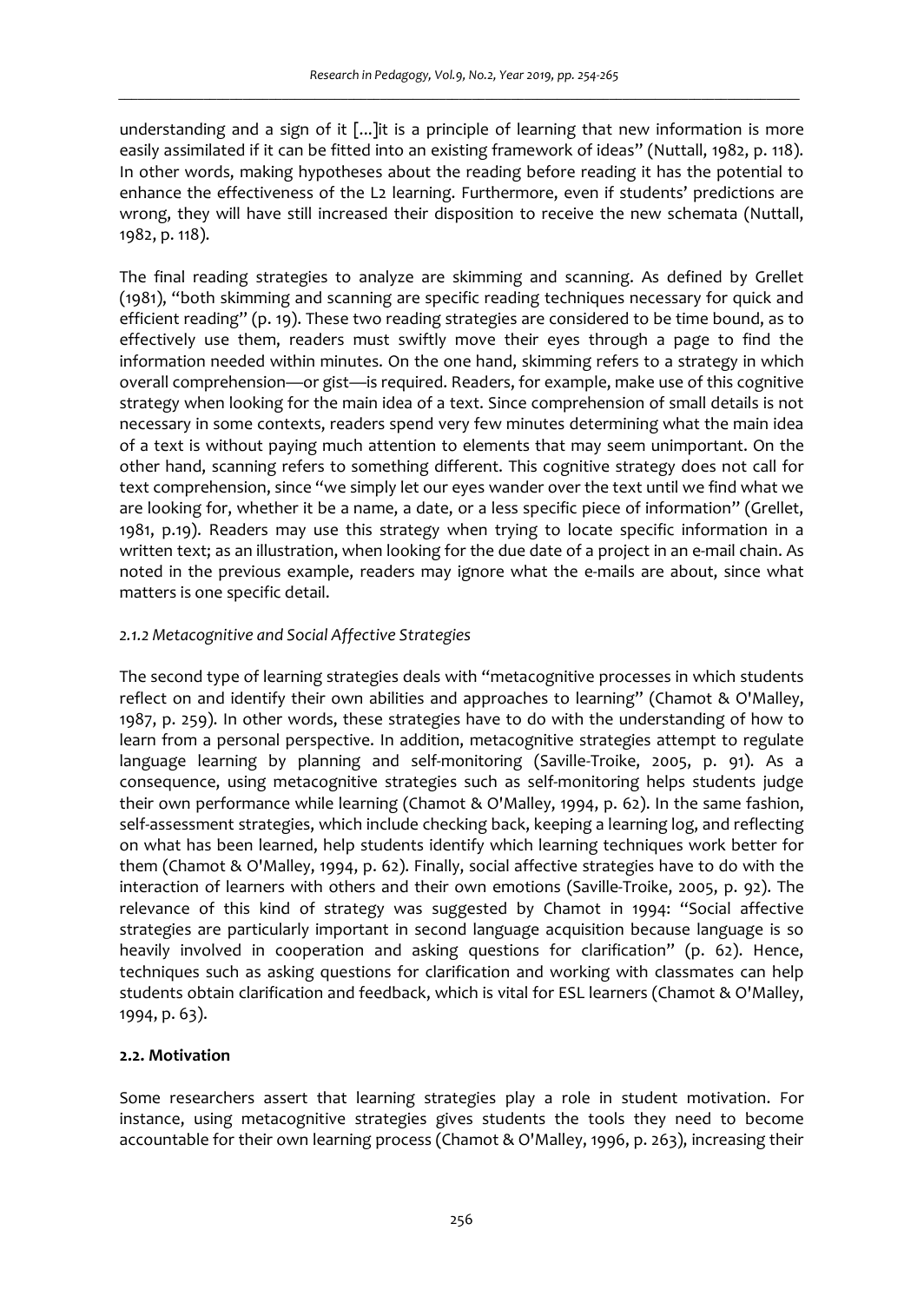understanding and a sign of it [...]it is a principle of learning that new information is more easily assimilated if it can be fitted into an existing framework of ideas" (Nuttall, 1982, p. 118). In other words, making hypotheses about the reading before reading it has the potential to enhance the effectiveness of the L2 learning. Furthermore, even if students' predictions are wrong, they will have still increased their disposition to receive the new schemata (Nuttall, 1982, p. 118).

The final reading strategies to analyze are skimming and scanning. As defined by Grellet (1981), "both skimming and scanning are specific reading techniques necessary for quick and efficient reading" (p. 19). These two reading strategies are considered to be time bound, as to effectively use them, readers must swiftly move their eyes through a page to find the information needed within minutes. On the one hand, skimming refers to a strategy in which overall comprehension—or gist—is required. Readers, for example, make use of this cognitive strategy when looking for the main idea of a text. Since comprehension of small details is not necessary in some contexts, readers spend very few minutes determining what the main idea of a text is without paying much attention to elements that may seem unimportant. On the other hand, scanning refers to something different. This cognitive strategy does not call for text comprehension, since "we simply let our eyes wander over the text until we find what we are looking for, whether it be a name, a date, or a less specific piece of information" (Grellet, 1981, p.19). Readers may use this strategy when trying to locate specific information in a written text; as an illustration, when looking for the due date of a project in an e-mail chain. As noted in the previous example, readers may ignore what the e-mails are about, since what matters is one specific detail.

## *2.1.2 Metacognitive and Social Affective Strategies*

The second type of learning strategies deals with "metacognitive processes in which students reflect on and identify their own abilities and approaches to learning" (Chamot & O'Malley, 1987, p. 259). In other words, these strategies have to do with the understanding of how to learn from a personal perspective. In addition, metacognitive strategies attempt to regulate language learning by planning and self-monitoring (Saville-Troike, 2005, p. 91). As a consequence, using metacognitive strategies such as self-monitoring helps students judge their own performance while learning (Chamot & O'Malley, 1994, p. 62). In the same fashion, self-assessment strategies, which include checking back, keeping a learning log, and reflecting on what has been learned, help students identify which learning techniques work better for them (Chamot & O'Malley, 1994, p. 62). Finally, social affective strategies have to do with the interaction of learners with others and their own emotions (Saville-Troike, 2005, p. 92). The relevance of this kind of strategy was suggested by Chamot in 1994: "Social affective strategies are particularly important in second language acquisition because language is so heavily involved in cooperation and asking questions for clarification" (p. 62). Hence, techniques such as asking questions for clarification and working with classmates can help students obtain clarification and feedback, which is vital for ESL learners (Chamot & O'Malley, 1994, p. 63).

#### **2.2. Motivation**

Some researchers assert that learning strategies play a role in student motivation. For instance, using metacognitive strategies gives students the tools they need to become accountable for their own learning process (Chamot & O'Malley, 1996, p. 263), increasing their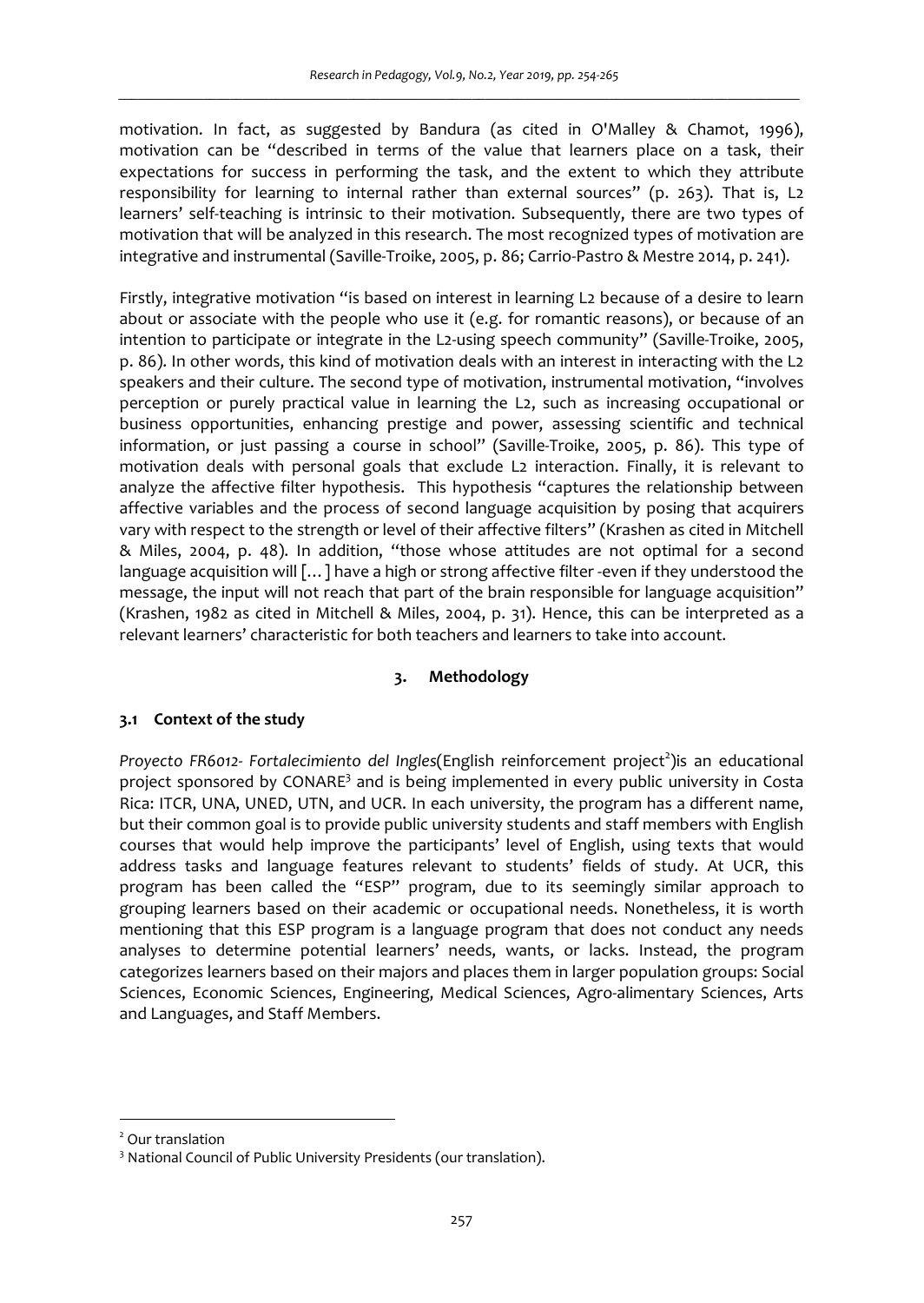motivation. In fact, as suggested by Bandura (as cited in O'Malley & Chamot, 1996), motivation can be "described in terms of the value that learners place on a task, their expectations for success in performing the task, and the extent to which they attribute responsibility for learning to internal rather than external sources" (p. 263). That is, L2 learners' self-teaching is intrinsic to their motivation. Subsequently, there are two types of motivation that will be analyzed in this research. The most recognized types of motivation are integrative and instrumental (Saville-Troike, 2005, p. 86; Carrio-Pastro & Mestre 2014, p. 241).

Firstly, integrative motivation "is based on interest in learning L2 because of a desire to learn about or associate with the people who use it (e.g. for romantic reasons), or because of an intention to participate or integrate in the L2-using speech community" (Saville-Troike, 2005, p. 86). In other words, this kind of motivation deals with an interest in interacting with the L2 speakers and their culture. The second type of motivation, instrumental motivation, "involves perception or purely practical value in learning the L2, such as increasing occupational or business opportunities, enhancing prestige and power, assessing scientific and technical information, or just passing a course in school" (Saville-Troike, 2005, p. 86). This type of motivation deals with personal goals that exclude L2 interaction. Finally, it is relevant to analyze the affective filter hypothesis. This hypothesis "captures the relationship between affective variables and the process of second language acquisition by posing that acquirers vary with respect to the strength or level of their affective filters" (Krashen as cited in Mitchell & Miles, 2004, p. 48). In addition, "those whose attitudes are not optimal for a second language acquisition will […] have a high or strong affective filter -even if they understood the message, the input will not reach that part of the brain responsible for language acquisition" (Krashen, 1982 as cited in Mitchell & Miles, 2004, p. 31). Hence, this can be interpreted as a relevant learners' characteristic for both teachers and learners to take into account.

# **3. Methodology**

# **3.1 Context of the study**

Proyecto FR6012- Fortalecimiento del Ingles(English reinforcement project<sup>2</sup>)is an educational project sponsored by CONARE<sup>3</sup> and is being implemented in every public university in Costa Rica: ITCR, UNA, UNED, UTN, and UCR. In each university, the program has a different name, but their common goal is to provide public university students and staff members with English courses that would help improve the participants' level of English, using texts that would address tasks and language features relevant to students' fields of study. At UCR, this program has been called the "ESP" program, due to its seemingly similar approach to grouping learners based on their academic or occupational needs. Nonetheless, it is worth mentioning that this ESP program is a language program that does not conduct any needs analyses to determine potential learners' needs, wants, or lacks. Instead, the program categorizes learners based on their majors and places them in larger population groups: Social Sciences, Economic Sciences, Engineering, Medical Sciences, Agro-alimentary Sciences, Arts and Languages, and Staff Members.

 $\overline{a}$ 

<sup>2</sup> Our translation

<sup>&</sup>lt;sup>3</sup> National Council of Public University Presidents (our translation).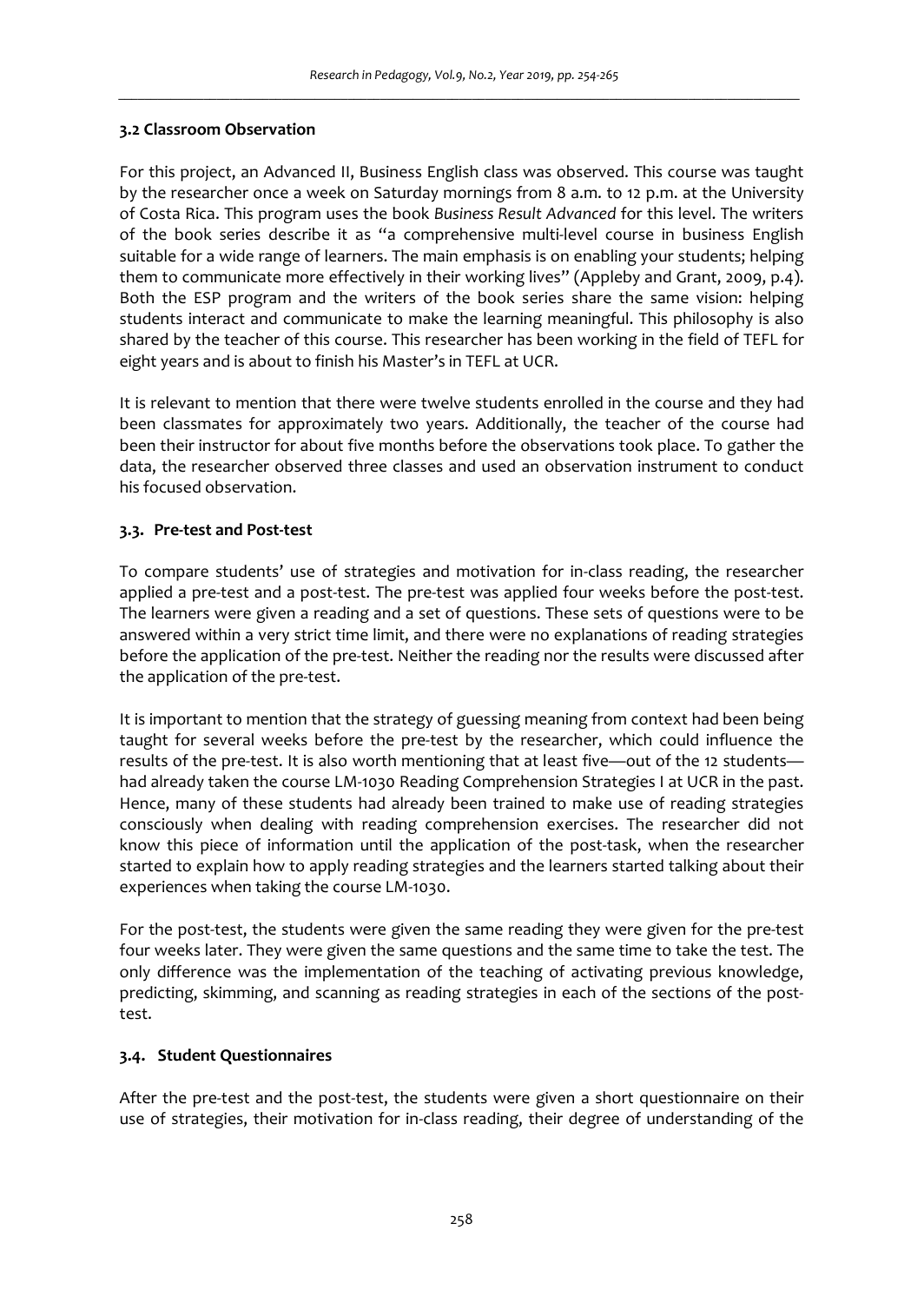## **3.2 Classroom Observation**

For this project, an Advanced II, Business English class was observed. This course was taught by the researcher once a week on Saturday mornings from 8 a.m. to 12 p.m. at the University of Costa Rica. This program uses the book *Business Result Advanced* for this level. The writers of the book series describe it as "a comprehensive multi-level course in business English suitable for a wide range of learners. The main emphasis is on enabling your students; helping them to communicate more effectively in their working lives" (Appleby and Grant, 2009, p.4). Both the ESP program and the writers of the book series share the same vision: helping students interact and communicate to make the learning meaningful. This philosophy is also shared by the teacher of this course. This researcher has been working in the field of TEFL for eight years and is about to finish his Master's in TEFL at UCR.

It is relevant to mention that there were twelve students enrolled in the course and they had been classmates for approximately two years. Additionally, the teacher of the course had been their instructor for about five months before the observations took place. To gather the data, the researcher observed three classes and used an observation instrument to conduct his focused observation.

# **3.3. Pre-test and Post-test**

To compare students' use of strategies and motivation for in-class reading, the researcher applied a pre-test and a post-test. The pre-test was applied four weeks before the post-test. The learners were given a reading and a set of questions. These sets of questions were to be answered within a very strict time limit, and there were no explanations of reading strategies before the application of the pre-test. Neither the reading nor the results were discussed after the application of the pre-test.

It is important to mention that the strategy of guessing meaning from context had been being taught for several weeks before the pre-test by the researcher, which could influence the results of the pre-test. It is also worth mentioning that at least five—out of the 12 students had already taken the course LM-1030 Reading Comprehension Strategies I at UCR in the past. Hence, many of these students had already been trained to make use of reading strategies consciously when dealing with reading comprehension exercises. The researcher did not know this piece of information until the application of the post-task, when the researcher started to explain how to apply reading strategies and the learners started talking about their experiences when taking the course LM-1030.

For the post-test, the students were given the same reading they were given for the pre-test four weeks later. They were given the same questions and the same time to take the test. The only difference was the implementation of the teaching of activating previous knowledge, predicting, skimming, and scanning as reading strategies in each of the sections of the posttest.

# **3.4. Student Questionnaires**

After the pre-test and the post-test, the students were given a short questionnaire on their use of strategies, their motivation for in-class reading, their degree of understanding of the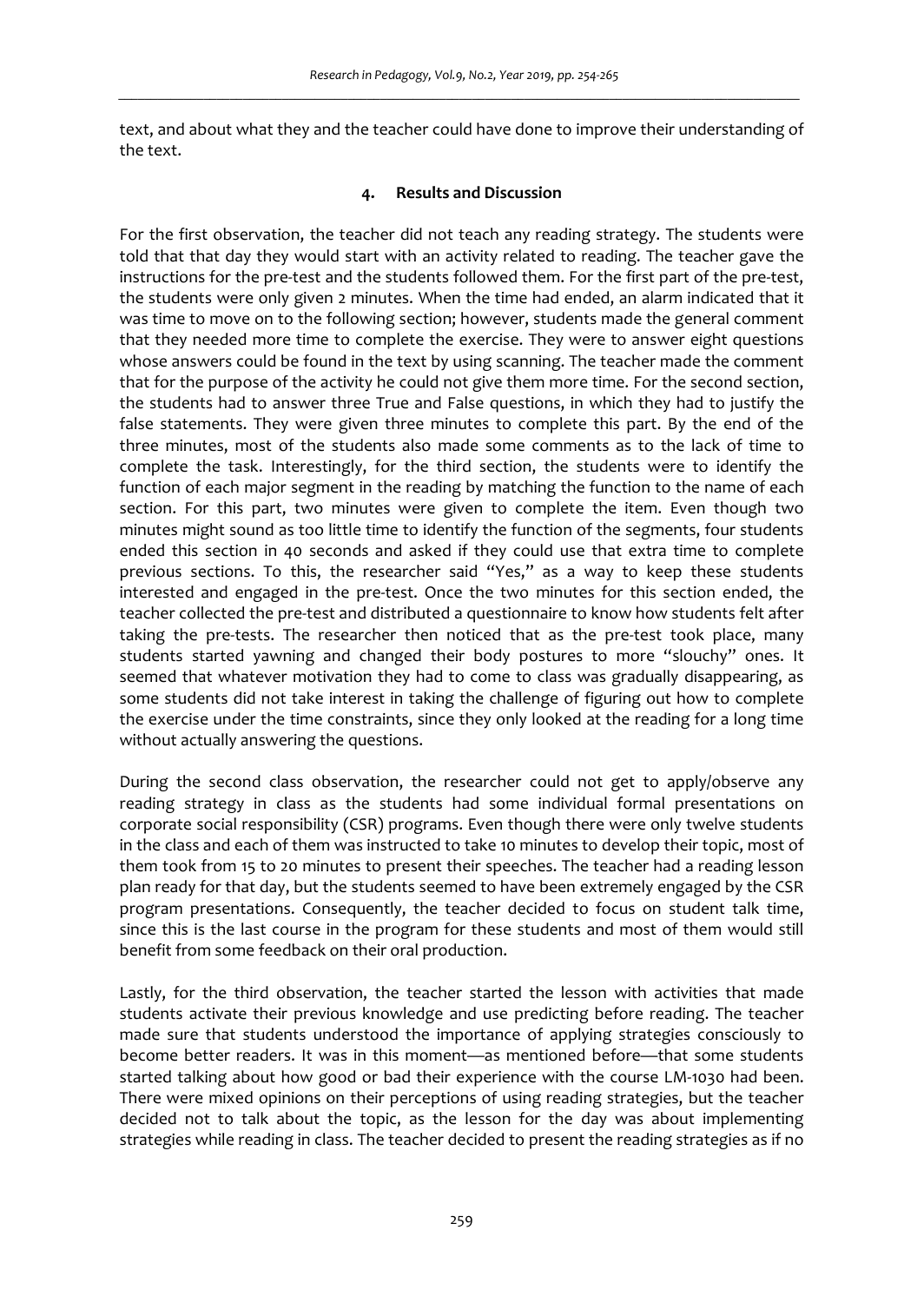text, and about what they and the teacher could have done to improve their understanding of the text.

## **4. Results and Discussion**

For the first observation, the teacher did not teach any reading strategy. The students were told that that day they would start with an activity related to reading. The teacher gave the instructions for the pre-test and the students followed them. For the first part of the pre-test, the students were only given 2 minutes. When the time had ended, an alarm indicated that it was time to move on to the following section; however, students made the general comment that they needed more time to complete the exercise. They were to answer eight questions whose answers could be found in the text by using scanning. The teacher made the comment that for the purpose of the activity he could not give them more time. For the second section, the students had to answer three True and False questions, in which they had to justify the false statements. They were given three minutes to complete this part. By the end of the three minutes, most of the students also made some comments as to the lack of time to complete the task. Interestingly, for the third section, the students were to identify the function of each major segment in the reading by matching the function to the name of each section. For this part, two minutes were given to complete the item. Even though two minutes might sound as too little time to identify the function of the segments, four students ended this section in 40 seconds and asked if they could use that extra time to complete previous sections. To this, the researcher said "Yes," as a way to keep these students interested and engaged in the pre-test. Once the two minutes for this section ended, the teacher collected the pre-test and distributed a questionnaire to know how students felt after taking the pre-tests. The researcher then noticed that as the pre-test took place, many students started yawning and changed their body postures to more "slouchy" ones. It seemed that whatever motivation they had to come to class was gradually disappearing, as some students did not take interest in taking the challenge of figuring out how to complete the exercise under the time constraints, since they only looked at the reading for a long time without actually answering the questions.

During the second class observation, the researcher could not get to apply/observe any reading strategy in class as the students had some individual formal presentations on corporate social responsibility (CSR) programs. Even though there were only twelve students in the class and each of them was instructed to take 10 minutes to develop their topic, most of them took from 15 to 20 minutes to present their speeches. The teacher had a reading lesson plan ready for that day, but the students seemed to have been extremely engaged by the CSR program presentations. Consequently, the teacher decided to focus on student talk time, since this is the last course in the program for these students and most of them would still benefit from some feedback on their oral production.

Lastly, for the third observation, the teacher started the lesson with activities that made students activate their previous knowledge and use predicting before reading. The teacher made sure that students understood the importance of applying strategies consciously to become better readers. It was in this moment—as mentioned before—that some students started talking about how good or bad their experience with the course LM-1030 had been. There were mixed opinions on their perceptions of using reading strategies, but the teacher decided not to talk about the topic, as the lesson for the day was about implementing strategies while reading in class. The teacher decided to present the reading strategies as if no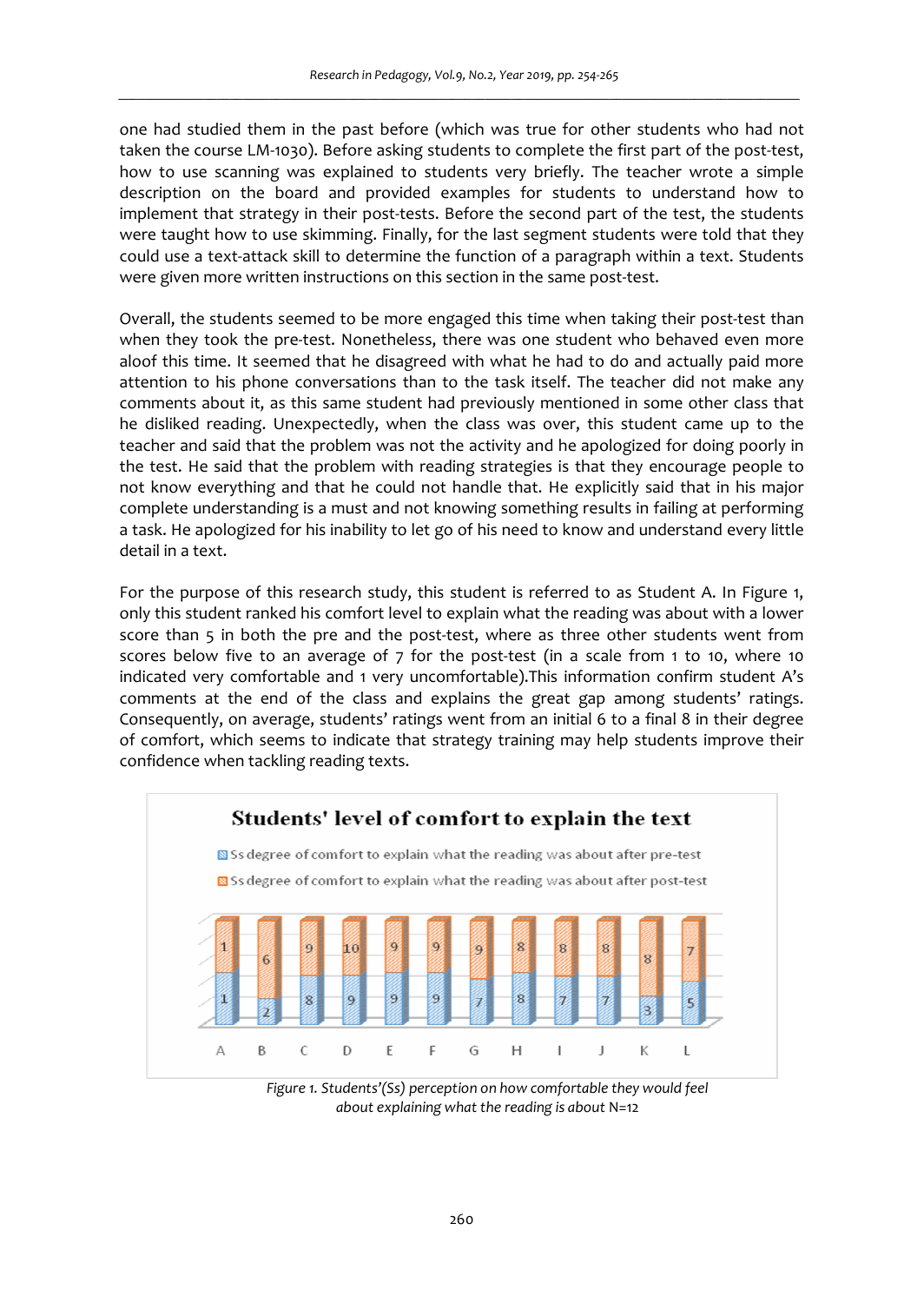one had studied them in the past before (which was true for other students who had not taken the course LM-1030). Before asking students to complete the first part of the post-test, how to use scanning was explained to students very briefly. The teacher wrote a simple description on the board and provided examples for students to understand how to implement that strategy in their post-tests. Before the second part of the test, the students were taught how to use skimming. Finally, for the last segment students were told that they could use a text-attack skill to determine the function of a paragraph within a text. Students were given more written instructions on this section in the same post-test.

Overall, the students seemed to be more engaged this time when taking their post-test than when they took the pre-test. Nonetheless, there was one student who behaved even more aloof this time. It seemed that he disagreed with what he had to do and actually paid more attention to his phone conversations than to the task itself. The teacher did not make any comments about it, as this same student had previously mentioned in some other class that he disliked reading. Unexpectedly, when the class was over, this student came up to the teacher and said that the problem was not the activity and he apologized for doing poorly in the test. He said that the problem with reading strategies is that they encourage people to not know everything and that he could not handle that. He explicitly said that in his major complete understanding is a must and not knowing something results in failing at performing a task. He apologized for his inability to let go of his need to know and understand every little detail in a text.

For the purpose of this research study, this student is referred to as Student A. In Figure 1, only this student ranked his comfort level to explain what the reading was about with a lower score than 5 in both the pre and the post-test, where as three other students went from scores below five to an average of 7 for the post-test (in a scale from 1 to 10, where 10 indicated very comfortable and 1 very uncomfortable).This information confirm student A's comments at the end of the class and explains the great gap among students' ratings. Consequently, on average, students' ratings went from an initial 6 to a final 8 in their degree of comfort, which seems to indicate that strategy training may help students improve their confidence when tackling reading texts.



*Figure 1. Students'(Ss) perception on how comfortable they would feel about explaining what the reading is about* N=12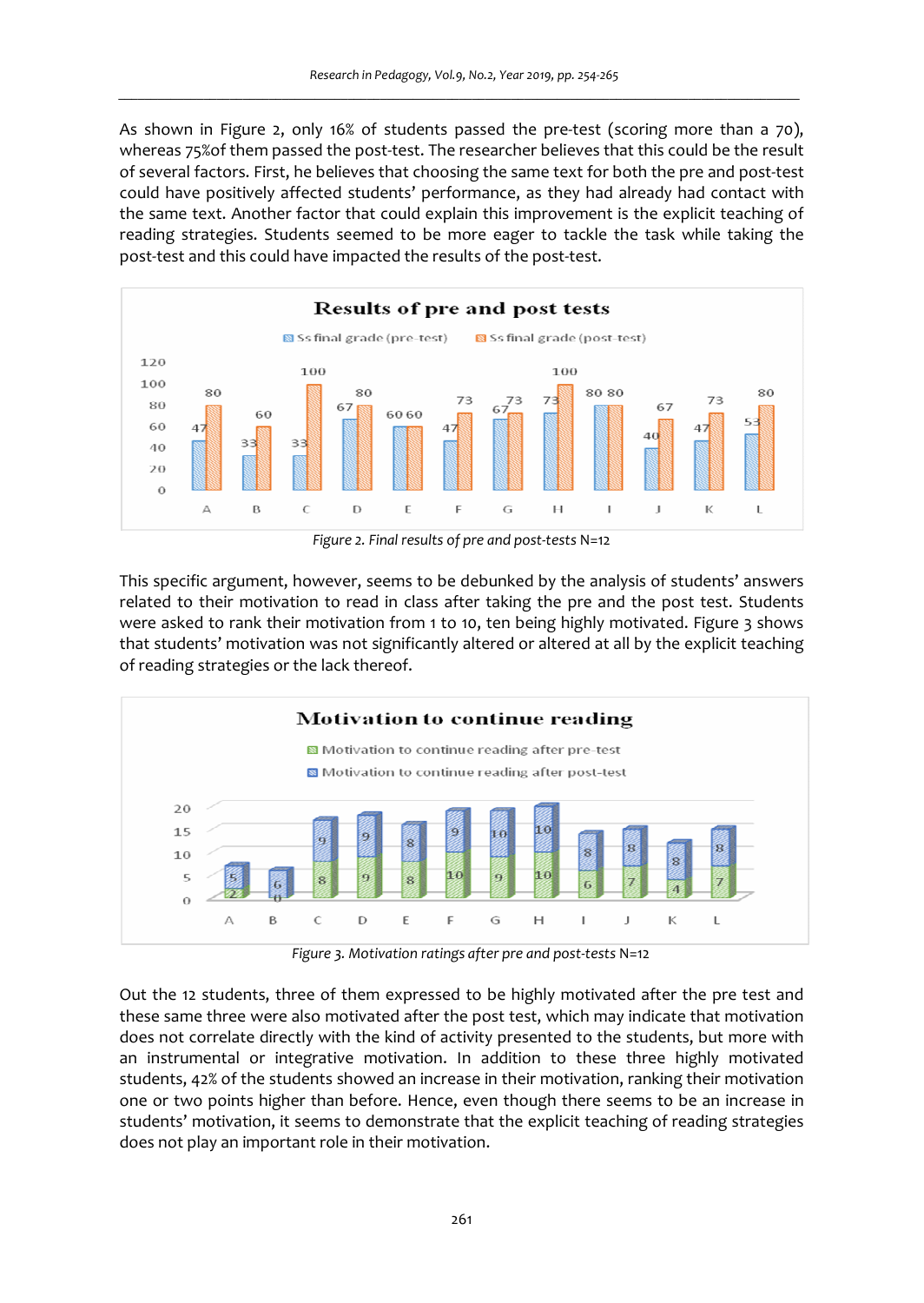As shown in Figure 2, only 16% of students passed the pre-test (scoring more than a 70), whereas 75%of them passed the post-test. The researcher believes that this could be the result of several factors. First, he believes that choosing the same text for both the pre and post-test could have positively affected students' performance, as they had already had contact with the same text. Another factor that could explain this improvement is the explicit teaching of reading strategies. Students seemed to be more eager to tackle the task while taking the post-test and this could have impacted the results of the post-test.



*Figure 2. Final results of pre and post-tests* N=12

This specific argument, however, seems to be debunked by the analysis of students' answers related to their motivation to read in class after taking the pre and the post test. Students were asked to rank their motivation from 1 to 10, ten being highly motivated. Figure 3 shows that students' motivation was not significantly altered or altered at all by the explicit teaching of reading strategies or the lack thereof.



*Figure 3. Motivation ratings after pre and post-tests* N=12

Out the 12 students, three of them expressed to be highly motivated after the pre test and these same three were also motivated after the post test, which may indicate that motivation does not correlate directly with the kind of activity presented to the students, but more with an instrumental or integrative motivation. In addition to these three highly motivated students, 42% of the students showed an increase in their motivation, ranking their motivation one or two points higher than before. Hence, even though there seems to be an increase in students' motivation, it seems to demonstrate that the explicit teaching of reading strategies does not play an important role in their motivation.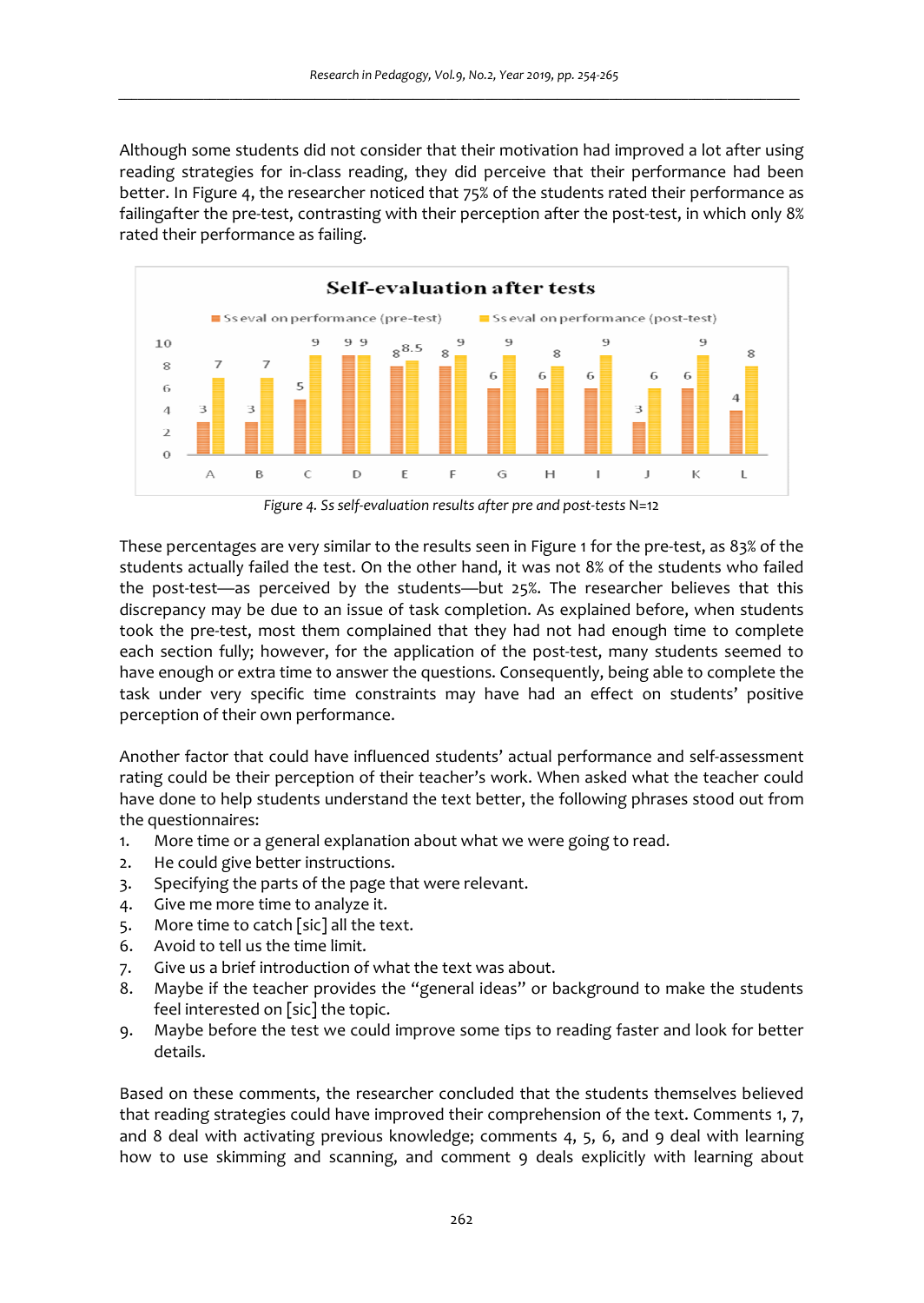Although some students did not consider that their motivation had improved a lot after using reading strategies for in-class reading, they did perceive that their performance had been better. In Figure 4, the researcher noticed that 75% of the students rated their performance as failingafter the pre-test, contrasting with their perception after the post-test, in which only 8% rated their performance as failing.



*Figure 4. Ss self-evaluation results after pre and post-tests* N=12

These percentages are very similar to the results seen in Figure 1 for the pre-test, as 83% of the students actually failed the test. On the other hand, it was not 8% of the students who failed the post-test—as perceived by the students—but 25%. The researcher believes that this discrepancy may be due to an issue of task completion. As explained before, when students took the pre-test, most them complained that they had not had enough time to complete each section fully; however, for the application of the post-test, many students seemed to have enough or extra time to answer the questions. Consequently, being able to complete the task under very specific time constraints may have had an effect on students' positive perception of their own performance.

Another factor that could have influenced students' actual performance and self-assessment rating could be their perception of their teacher's work. When asked what the teacher could have done to help students understand the text better, the following phrases stood out from the questionnaires:

- 1. More time or a general explanation about what we were going to read.
- 2. He could give better instructions.
- 3. Specifying the parts of the page that were relevant.
- 4. Give me more time to analyze it.
- 5. More time to catch [sic] all the text.
- 6. Avoid to tell us the time limit.
- 7. Give us a brief introduction of what the text was about.
- 8. Maybe if the teacher provides the "general ideas" or background to make the students feel interested on [sic] the topic.
- 9. Maybe before the test we could improve some tips to reading faster and look for better details.

Based on these comments, the researcher concluded that the students themselves believed that reading strategies could have improved their comprehension of the text. Comments 1, 7, and 8 deal with activating previous knowledge; comments 4, 5, 6, and 9 deal with learning how to use skimming and scanning, and comment 9 deals explicitly with learning about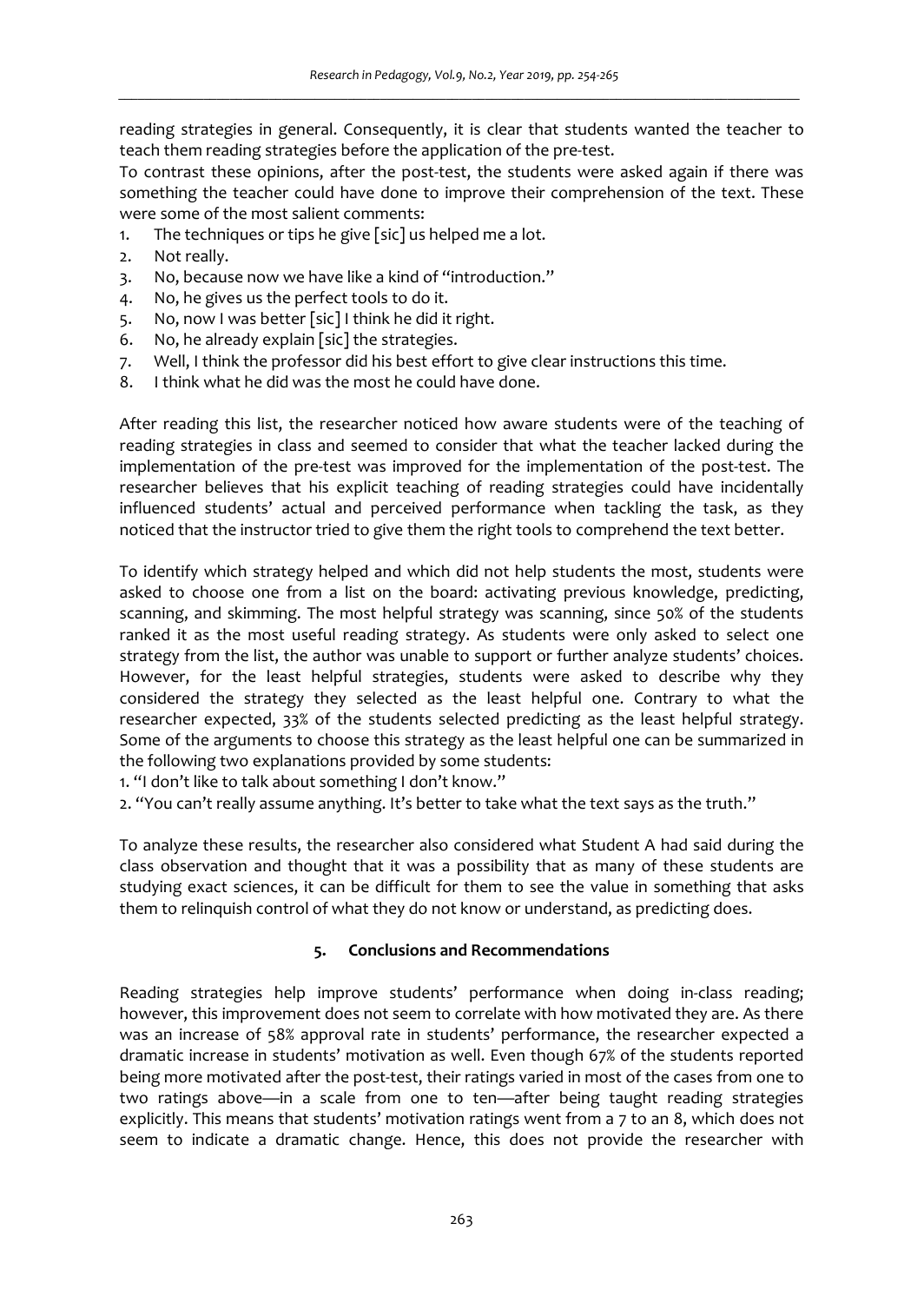reading strategies in general. Consequently, it is clear that students wanted the teacher to teach them reading strategies before the application of the pre-test.

To contrast these opinions, after the post-test, the students were asked again if there was something the teacher could have done to improve their comprehension of the text. These were some of the most salient comments:

- 1. The techniques or tips he give [sic] us helped me a lot.
- 2. Not really.
- 3. No, because now we have like a kind of "introduction."
- 4. No, he gives us the perfect tools to do it.
- 5. No, now I was better [sic] I think he did it right.
- 6. No, he already explain [sic] the strategies.
- 7. Well, I think the professor did his best effort to give clear instructions this time.
- 8. I think what he did was the most he could have done.

After reading this list, the researcher noticed how aware students were of the teaching of reading strategies in class and seemed to consider that what the teacher lacked during the implementation of the pre-test was improved for the implementation of the post-test. The researcher believes that his explicit teaching of reading strategies could have incidentally influenced students' actual and perceived performance when tackling the task, as they noticed that the instructor tried to give them the right tools to comprehend the text better.

To identify which strategy helped and which did not help students the most, students were asked to choose one from a list on the board: activating previous knowledge, predicting, scanning, and skimming. The most helpful strategy was scanning, since 50% of the students ranked it as the most useful reading strategy. As students were only asked to select one strategy from the list, the author was unable to support or further analyze students' choices. However, for the least helpful strategies, students were asked to describe why they considered the strategy they selected as the least helpful one. Contrary to what the researcher expected, 33% of the students selected predicting as the least helpful strategy. Some of the arguments to choose this strategy as the least helpful one can be summarized in the following two explanations provided by some students:

1. "I don't like to talk about something I don't know."

2. "You can't really assume anything. It's better to take what the text says as the truth."

To analyze these results, the researcher also considered what Student A had said during the class observation and thought that it was a possibility that as many of these students are studying exact sciences, it can be difficult for them to see the value in something that asks them to relinquish control of what they do not know or understand, as predicting does.

# **5. Conclusions and Recommendations**

Reading strategies help improve students' performance when doing in-class reading; however, this improvement does not seem to correlate with how motivated they are. As there was an increase of 58% approval rate in students' performance, the researcher expected a dramatic increase in students' motivation as well. Even though 67% of the students reported being more motivated after the post-test, their ratings varied in most of the cases from one to two ratings above—in a scale from one to ten—after being taught reading strategies explicitly. This means that students' motivation ratings went from a 7 to an 8, which does not seem to indicate a dramatic change. Hence, this does not provide the researcher with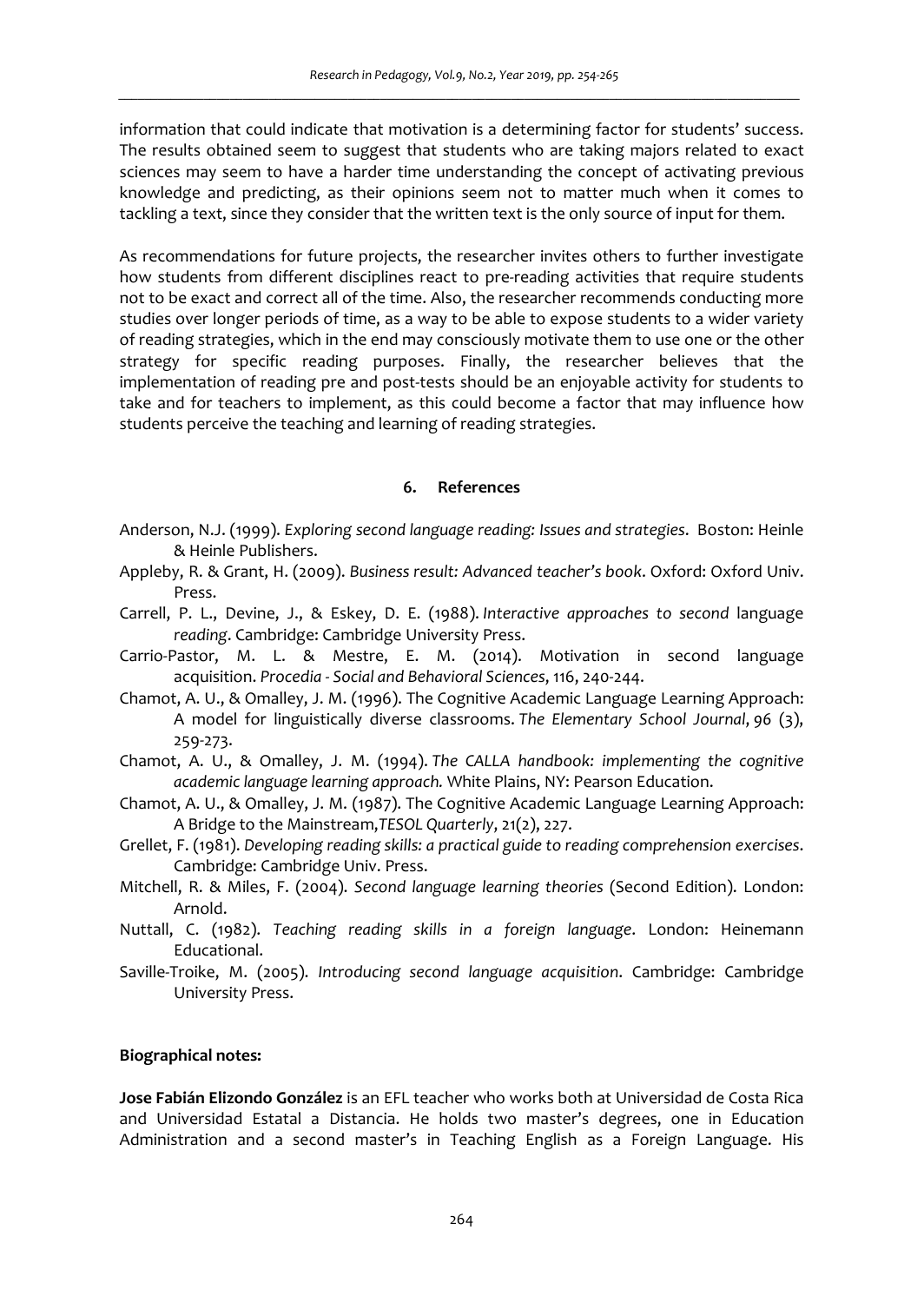information that could indicate that motivation is a determining factor for students' success. The results obtained seem to suggest that students who are taking majors related to exact sciences may seem to have a harder time understanding the concept of activating previous knowledge and predicting, as their opinions seem not to matter much when it comes to tackling a text, since they consider that the written text is the only source of input for them.

As recommendations for future projects, the researcher invites others to further investigate how students from different disciplines react to pre-reading activities that require students not to be exact and correct all of the time. Also, the researcher recommends conducting more studies over longer periods of time, as a way to be able to expose students to a wider variety of reading strategies, which in the end may consciously motivate them to use one or the other strategy for specific reading purposes. Finally, the researcher believes that the implementation of reading pre and post-tests should be an enjoyable activity for students to take and for teachers to implement, as this could become a factor that may influence how students perceive the teaching and learning of reading strategies.

#### **6. References**

- Anderson, N.J. (1999). *Exploring second language reading: Issues and strategies*. Boston: Heinle & Heinle Publishers.
- Appleby, R. & Grant, H. (2009). *Business result: Advanced teacher's book*. Oxford: Oxford Univ. Press.
- Carrell, P. L., Devine, J., & Eskey, D. E. (1988). *Interactive approaches to second* language *reading*. Cambridge: Cambridge University Press.
- Carrio-Pastor, M. L. & Mestre, E. M. (2014). Motivation in second language acquisition. *Procedia - Social and Behavioral Sciences*, 116, 240-244.
- Chamot, A. U., & Omalley, J. M. (1996). The Cognitive Academic Language Learning Approach: A model for linguistically diverse classrooms. *The Elementary School Journal*, *96* (3), 259-273.
- Chamot, A. U., & Omalley, J. M. (1994). *The CALLA handbook: implementing the cognitive academic language learning approach.* White Plains, NY: Pearson Education.
- Chamot, A. U., & Omalley, J. M. (1987). The Cognitive Academic Language Learning Approach: A Bridge to the Mainstream,*TESOL Quarterly*, 21(2), 227.
- Grellet, F. (1981). *Developing reading skills: a practical guide to reading comprehension exercises*. Cambridge: Cambridge Univ. Press.
- Mitchell, R. & Miles, F. (2004). *Second language learning theories* (Second Edition). London: Arnold.
- Nuttall, C. (1982). *Teaching reading skills in a foreign language*. London: Heinemann Educational.
- Saville-Troike, M. (2005). *Introducing second language acquisition*. Cambridge: Cambridge University Press.

#### **Biographical notes:**

**Jose Fabián Elizondo González** is an EFL teacher who works both at Universidad de Costa Rica and Universidad Estatal a Distancia. He holds two master's degrees, one in Education Administration and a second master's in Teaching English as a Foreign Language. His